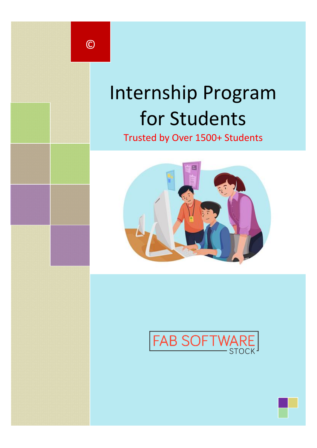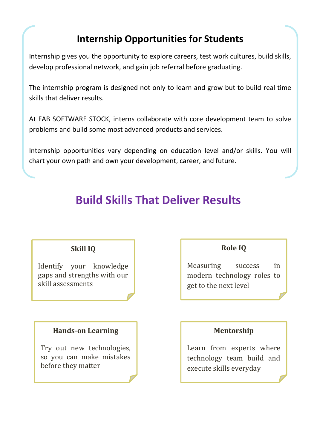## **Internship Opportunities for Students**

Internship gives you the opportunity to explore careers, test work cultures, build skills, develop professional network, and gain job referral before graduating.

The internship program is designed not only to learn and grow but to build real time skills that deliver results.

At FAB SOFTWARE STOCK, interns collaborate with core development team to solve problems and build some most advanced products and services.

Internship opportunities vary depending on education level and/or skills. You will chart your own path and own your development, career, and future.

# **Build Skills That Deliver Results**

### **Skill IQ**

Identify your knowledge gaps and strengths with our skill assessments

### **Hands-on Learning**

Try out new technologies, so you can make mistakes before they matter

### **Role IQ**

Measuring success in modern technology roles to get to the next level

### **Mentorship**

Learn from experts where technology team build and execute skills everyday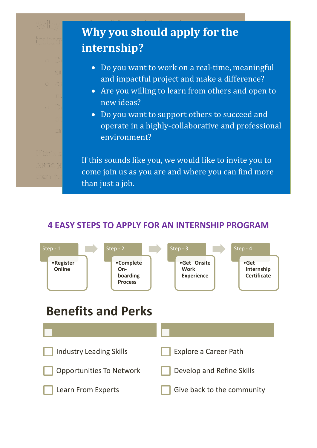# **Why you should apply for the internship?**

- Do you want to work on a real-time, meaningful and impactful project and make a difference?
- Are you willing to learn from others and open to new ideas?
- Do you want to support others to succeed and operate in a highly-collaborative and professional environment?

If this sounds like you, we would like to invite you to come join us as you are and where you can find more than just a job.

### **4 EASY STEPS TO APPLY FOR AN INTERNSHIP PROGRAM**

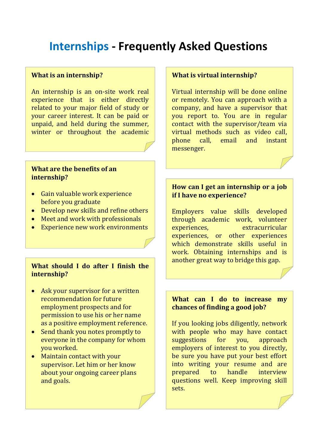# **Internships - Frequently Asked Questions**

#### **What is an internship?**

An internship is an on-site work real experience that is either directly related to your major field of study or your career interest. It can be paid or unpaid, and held during the summer, winter or throughout the academic year.

### **What are the benefits of an internship?**

- Gain valuable work experience before you graduate
- Develop new skills and refine others
- Meet and work with professionals
- Experience new work environments

### **What should I do after I finish the internship?**

- Ask your supervisor for a written recommendation for future employment prospects and for permission to use his or her name as a positive employment reference.
- Send thank you notes promptly to everyone in the company for whom you worked.
- Maintain contact with your supervisor. Let him or her know about your ongoing career plans and goals.

#### **What is virtual internship?**

Virtual internship will be done online or remotely. You can approach with a company, and have a supervisor that you report to. You are in regular contact with the supervisor/team via virtual methods such as video call, phone call, email and instant messenger.

### **How can I get an internship or a job if I have no experience?**

Employers value skills developed through academic work, volunteer experiences, extracurricular experiences, or other experiences which demonstrate skills useful in work. Obtaining internships and is another great way to bridge this gap.

#### **What can I do to increase my chances of finding a good job?**

If you looking jobs diligently, network with people who may have contact suggestions for you, approach employers of interest to you directly, be sure you have put your best effort into writing your resume and are prepared to handle interview questions well. Keep improving skill sets.